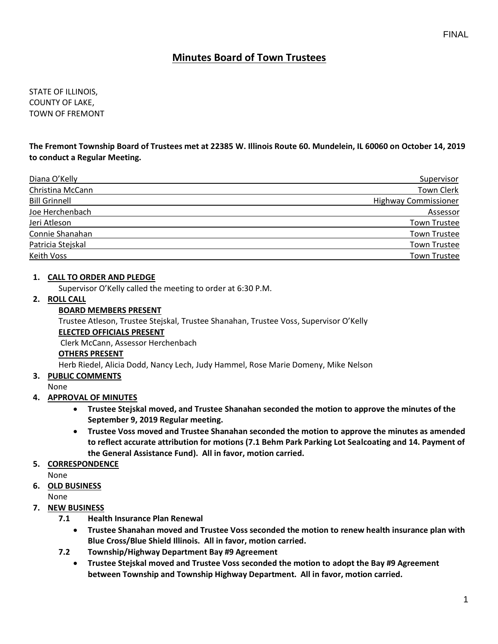STATE OF ILLINOIS, COUNTY OF LAKE, TOWN OF FREMONT

**The Fremont Township Board of Trustees met at 22385 W. Illinois Route 60. Mundelein, IL 60060 on October 14, 2019 to conduct a Regular Meeting.**

| Supervisor                  |
|-----------------------------|
| <b>Town Clerk</b>           |
| <b>Highway Commissioner</b> |
| Assessor                    |
| <b>Town Trustee</b>         |
| <b>Town Trustee</b>         |
| <b>Town Trustee</b>         |
| <b>Town Trustee</b>         |
|                             |

#### **1. CALL TO ORDER AND PLEDGE**

Supervisor O'Kelly called the meeting to order at 6:30 P.M.

### **2. ROLL CALL**

#### **BOARD MEMBERS PRESENT**

Trustee Atleson, Trustee Stejskal, Trustee Shanahan, Trustee Voss, Supervisor O'Kelly

#### **ELECTED OFFICIALS PRESENT**

Clerk McCann, Assessor Herchenbach

#### **OTHERS PRESENT**

Herb Riedel, Alicia Dodd, Nancy Lech, Judy Hammel, Rose Marie Domeny, Mike Nelson

**3. PUBLIC COMMENTS**

#### None

## **4. APPROVAL OF MINUTES**

- **Trustee Stejskal moved, and Trustee Shanahan seconded the motion to approve the minutes of the September 9, 2019 Regular meeting.**
- **Trustee Voss moved and Trustee Shanahan seconded the motion to approve the minutes as amended to reflect accurate attribution for motions (7.1 Behm Park Parking Lot Sealcoating and 14. Payment of the General Assistance Fund). All in favor, motion carried.**

#### **5. CORRESPONDENCE**

None

**6. OLD BUSINESS**

None

## **7. NEW BUSINESS**

- **7.1 Health Insurance Plan Renewal**
	- **Trustee Shanahan moved and Trustee Voss seconded the motion to renew health insurance plan with Blue Cross/Blue Shield Illinois. All in favor, motion carried.**
- **7.2 Township/Highway Department Bay #9 Agreement**
	- **Trustee Stejskal moved and Trustee Voss seconded the motion to adopt the Bay #9 Agreement between Township and Township Highway Department. All in favor, motion carried.**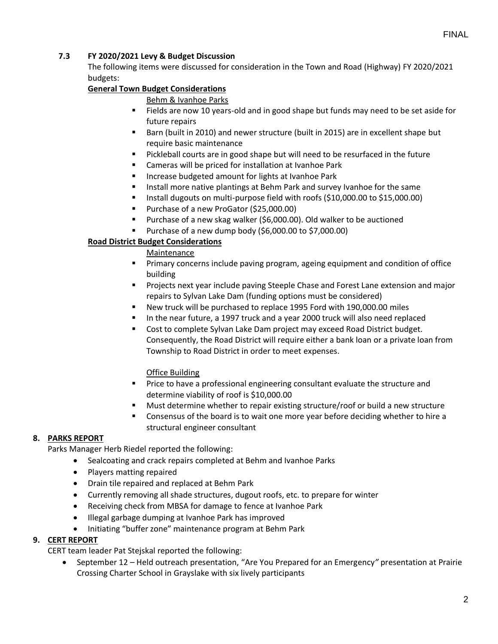## **7.3 FY 2020/2021 Levy & Budget Discussion**

The following items were discussed for consideration in the Town and Road (Highway) FY 2020/2021 budgets:

## **General Town Budget Considerations**

#### Behm & Ivanhoe Parks

- Fields are now 10 years-old and in good shape but funds may need to be set aside for future repairs
- Barn (built in 2010) and newer structure (built in 2015) are in excellent shape but require basic maintenance
- Pickleball courts are in good shape but will need to be resurfaced in the future
- Cameras will be priced for installation at Ivanhoe Park
- Increase budgeted amount for lights at Ivanhoe Park
- Install more native plantings at Behm Park and survey Ivanhoe for the same
- Install dugouts on multi-purpose field with roofs (\$10,000.00 to \$15,000.00)
- Purchase of a new ProGator (\$25,000.00)
- Purchase of a new skag walker (\$6,000.00). Old walker to be auctioned
- Purchase of a new dump body (\$6,000.00 to \$7,000.00)

### **Road District Budget Considerations**

**Maintenance** 

- Primary concerns include paving program, ageing equipment and condition of office building
- Projects next year include paving Steeple Chase and Forest Lane extension and major repairs to Sylvan Lake Dam (funding options must be considered)
- New truck will be purchased to replace 1995 Ford with 190,000.00 miles
- In the near future, a 1997 truck and a year 2000 truck will also need replaced
- Cost to complete Sylvan Lake Dam project may exceed Road District budget. Consequently, the Road District will require either a bank loan or a private loan from Township to Road District in order to meet expenses.

#### Office Building

- Price to have a professional engineering consultant evaluate the structure and determine viability of roof is \$10,000.00
- Must determine whether to repair existing structure/roof or build a new structure
- Consensus of the board is to wait one more year before deciding whether to hire a structural engineer consultant

#### **8. PARKS REPORT**

Parks Manager Herb Riedel reported the following:

- Sealcoating and crack repairs completed at Behm and Ivanhoe Parks
- Players matting repaired
- Drain tile repaired and replaced at Behm Park
- Currently removing all shade structures, dugout roofs, etc. to prepare for winter
- Receiving check from MBSA for damage to fence at Ivanhoe Park
- Illegal garbage dumping at Ivanhoe Park has improved
- Initiating "buffer zone" maintenance program at Behm Park

## **9. CERT REPORT**

CERT team leader Pat Stejskal reported the following:

• September 12 – Held outreach presentation, "Are You Prepared for an Emergency*"* presentation at Prairie Crossing Charter School in Grayslake with six lively participants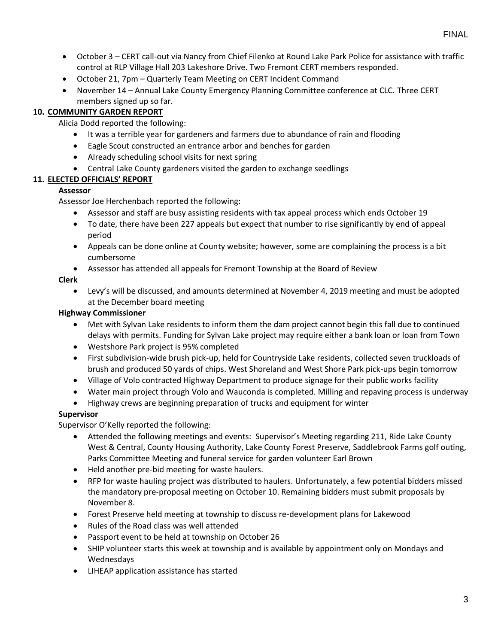- October 3 CERT call-out via Nancy from Chief Filenko at Round Lake Park Police for assistance with traffic control at RLP Village Hall 203 Lakeshore Drive. Two Fremont CERT members responded.
- October 21, 7pm Quarterly Team Meeting on CERT Incident Command
- November 14 Annual Lake County Emergency Planning Committee conference at CLC. Three CERT members signed up so far.

## **10. COMMUNITY GARDEN REPORT**

Alicia Dodd reported the following:

- It was a terrible year for gardeners and farmers due to abundance of rain and flooding
- Eagle Scout constructed an entrance arbor and benches for garden
- Already scheduling school visits for next spring
- Central Lake County gardeners visited the garden to exchange seedlings

## **11. ELECTED OFFICIALS' REPORT**

## **Assessor**

Assessor Joe Herchenbach reported the following:

- Assessor and staff are busy assisting residents with tax appeal process which ends October 19
- To date, there have been 227 appeals but expect that number to rise significantly by end of appeal period
- Appeals can be done online at County website; however, some are complaining the process is a bit cumbersome
- Assessor has attended all appeals for Fremont Township at the Board of Review

## **Clerk**

• Levy's will be discussed, and amounts determined at November 4, 2019 meeting and must be adopted at the December board meeting

## **Highway Commissioner**

- Met with Sylvan Lake residents to inform them the dam project cannot begin this fall due to continued delays with permits. Funding for Sylvan Lake project may require either a bank loan or loan from Town
- Westshore Park project is 95% completed
- First subdivision-wide brush pick-up, held for Countryside Lake residents, collected seven truckloads of brush and produced 50 yards of chips. West Shoreland and West Shore Park pick-ups begin tomorrow
- Village of Volo contracted Highway Department to produce signage for their public works facility
- Water main project through Volo and Wauconda is completed. Milling and repaving process is underway
- Highway crews are beginning preparation of trucks and equipment for winter

## **Supervisor**

Supervisor O'Kelly reported the following:

- Attended the following meetings and events: Supervisor's Meeting regarding 211, Ride Lake County West & Central, County Housing Authority, Lake County Forest Preserve, Saddlebrook Farms golf outing, Parks Committee Meeting and funeral service for garden volunteer Earl Brown
- Held another pre-bid meeting for waste haulers.
- RFP for waste hauling project was distributed to haulers. Unfortunately, a few potential bidders missed the mandatory pre-proposal meeting on October 10. Remaining bidders must submit proposals by November 8.
- Forest Preserve held meeting at township to discuss re-development plans for Lakewood
- Rules of the Road class was well attended
- Passport event to be held at township on October 26
- SHIP volunteer starts this week at township and is available by appointment only on Mondays and Wednesdays
- LIHEAP application assistance has started